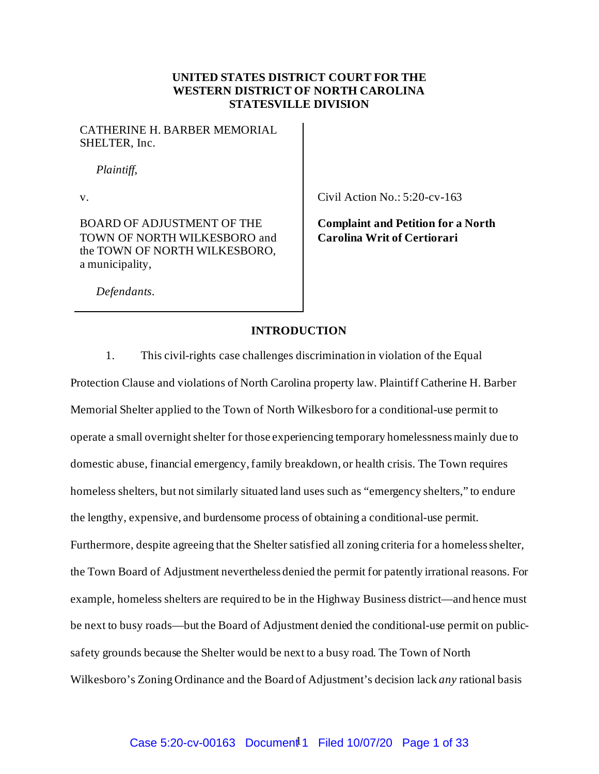#### **UNITED STATES DISTRICT COURT FOR THE WESTERN DISTRICT OF NORTH CAROLINA STATESVILLE DIVISION**

CATHERINE H. BARBER MEMORIAL SHELTER, Inc.

*Plaintiff*,

BOARD OF ADJUSTMENT OF THE TOWN OF NORTH WILKESBORO and the TOWN OF NORTH WILKESBORO, a municipality,

v. Civil Action No.: 5:20-cv-163

**Complaint and Petition for a North Carolina Writ of Certiorari**

*Defendants*.

#### **INTRODUCTION**

1. This civil-rights case challenges discrimination in violation of the Equal

Protection Clause and violations of North Carolina property law. Plaintiff Catherine H. Barber Memorial Shelter applied to the Town of North Wilkesboro for a conditional-use permit to operate a small overnight shelter for those experiencing temporary homelessnessmainly due to domestic abuse, financial emergency, family breakdown, or health crisis. The Town requires homeless shelters, but not similarly situated land uses such as "emergency shelters," to endure the lengthy, expensive, and burdensome process of obtaining a conditional-use permit. Furthermore, despite agreeing that the Shelter satisfied all zoning criteria for a homeless shelter, the Town Board of Adjustment nevertheless denied the permit for patently irrational reasons. For example, homeless shelters are required to be in the Highway Business district—and hence must be next to busy roads—but the Board of Adjustment denied the conditional-use permit on publicsafety grounds because the Shelter would be next to a busy road. The Town of North Wilkesboro's Zoning Ordinance and the Board of Adjustment's decision lack *any* rational basis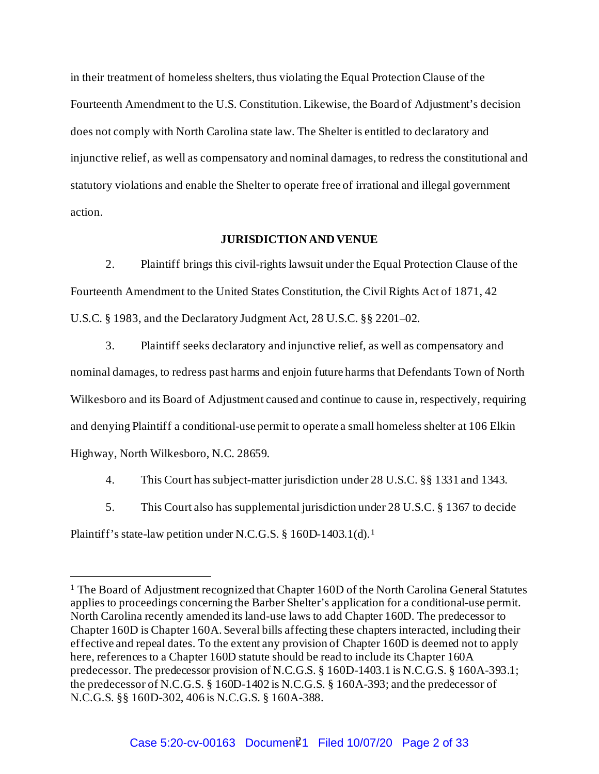in their treatment of homeless shelters, thus violating the Equal Protection Clause of the Fourteenth Amendment to the U.S. Constitution. Likewise, the Board of Adjustment's decision does not comply with North Carolina state law. The Shelter is entitled to declaratory and injunctive relief, as well as compensatory and nominal damages, to redress the constitutional and statutory violations and enable the Shelter to operate free of irrational and illegal government action.

#### **JURISDICTION AND VENUE**

2. Plaintiff brings this civil-rights lawsuit under the Equal Protection Clause of the Fourteenth Amendment to the United States Constitution, the Civil Rights Act of 1871, 42 U.S.C. § 1983, and the Declaratory Judgment Act, 28 U.S.C. §§ 2201–02.

3. Plaintiff seeks declaratory and injunctive relief, as well as compensatory and nominal damages, to redress past harms and enjoin future harms that Defendants Town of North Wilkesboro and its Board of Adjustment caused and continue to cause in, respectively, requiring and denying Plaintiff a conditional-use permit to operate a small homeless shelter at 106 Elkin Highway, North Wilkesboro, N.C. 28659.

- 4. This Court has subject-matter jurisdiction under 28 U.S.C. §§ 1331 and 1343.
- 5. This Court also has supplemental jurisdiction under 28 U.S.C. § 1367 to decide

Plaintiff's state-law petition under N.C.G.S. § [1](#page-1-0)60D-1403.1(d).<sup>1</sup>

<span id="page-1-0"></span><sup>&</sup>lt;sup>1</sup> The Board of Adjustment recognized that Chapter 160D of the North Carolina General Statutes applies to proceedings concerning the Barber Shelter's application for a conditional-use permit. North Carolina recently amended its land-use laws to add Chapter 160D. The predecessor to Chapter 160D is Chapter 160A. Several bills affecting these chapters interacted, including their effective and repeal dates. To the extent any provision of Chapter 160D is deemed not to apply here, references to a Chapter 160D statute should be read to include its Chapter 160A predecessor. The predecessor provision of N.C.G.S. § 160D-1403.1 is N.C.G.S. § 160A-393.1; the predecessor of N.C.G.S. § 160D-1402 is N.C.G.S. § 160A-393; and the predecessor of N.C.G.S. §§ 160D-302, 406 is N.C.G.S. § 160A-388.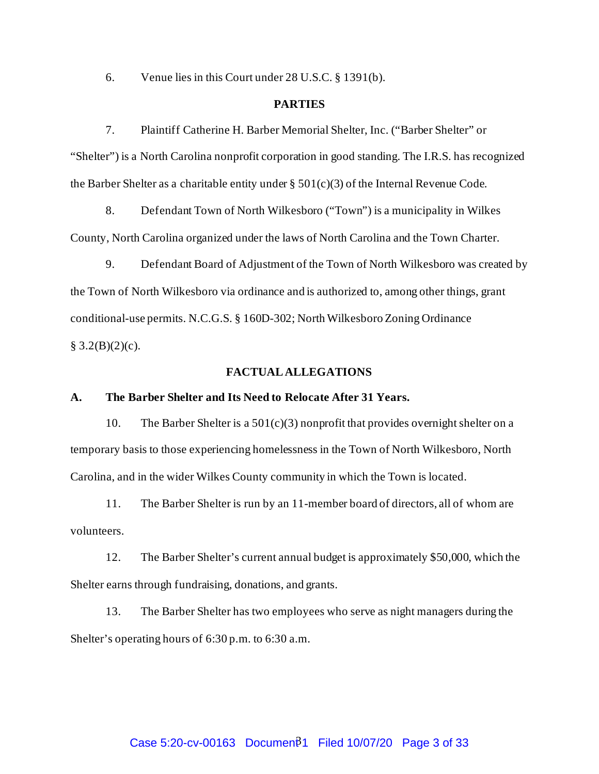6. Venue lies in this Court under 28 U.S.C. § 1391(b).

#### **PARTIES**

7. Plaintiff Catherine H. Barber Memorial Shelter, Inc. ("Barber Shelter" or "Shelter") is a North Carolina nonprofit corporation in good standing. The I.R.S. has recognized the Barber Shelter as a charitable entity under  $\S 501(c)(3)$  of the Internal Revenue Code.

8. Defendant Town of North Wilkesboro ("Town") is a municipality in Wilkes County, North Carolina organized under the laws of North Carolina and the Town Charter.

9. Defendant Board of Adjustment of the Town of North Wilkesboro was created by the Town of North Wilkesboro via ordinance and is authorized to, among other things, grant conditional-use permits. N.C.G.S. § 160D-302; North Wilkesboro Zoning Ordinance  $§ 3.2(B)(2)(c).$ 

#### **FACTUALALLEGATIONS**

#### **A. The Barber Shelter and Its Need to Relocate After 31 Years.**

10. The Barber Shelter is a 501(c)(3) nonprofit that provides overnight shelter on a temporary basis to those experiencing homelessness in the Town of North Wilkesboro, North Carolina, and in the wider Wilkes County community in which the Town is located.

11. The Barber Shelter is run by an 11-member board of directors, all of whom are volunteers.

12. The Barber Shelter's current annual budget is approximately \$50,000, which the Shelter earns through fundraising, donations, and grants.

13. The Barber Shelter has two employees who serve as night managers during the Shelter's operating hours of 6:30 p.m. to 6:30 a.m.

# Case 5:20-cv-00163 Document<sup>2</sup>1 Filed 10/07/20 Page 3 of 33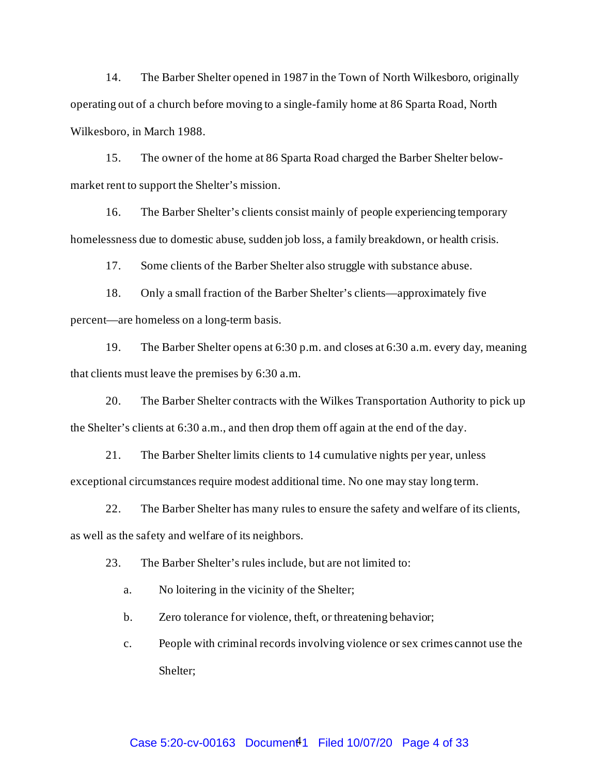14. The Barber Shelter opened in 1987 in the Town of North Wilkesboro, originally operating out of a church before moving to a single-family home at 86 Sparta Road, North Wilkesboro, in March 1988.

15. The owner of the home at 86 Sparta Road charged the Barber Shelter belowmarket rent to support the Shelter's mission.

16. The Barber Shelter's clients consist mainly of people experiencing temporary homelessness due to domestic abuse, sudden job loss, a family breakdown, or health crisis.

17. Some clients of the Barber Shelter also struggle with substance abuse.

18. Only a small fraction of the Barber Shelter's clients—approximately five percent—are homeless on a long-term basis.

19. The Barber Shelter opens at 6:30 p.m. and closes at 6:30 a.m. every day, meaning that clients must leave the premises by 6:30 a.m.

20. The Barber Shelter contracts with the Wilkes Transportation Authority to pick up the Shelter's clients at 6:30 a.m., and then drop them off again at the end of the day.

21. The Barber Shelter limits clients to 14 cumulative nights per year, unless exceptional circumstances require modest additional time. No one may stay long term.

22. The Barber Shelter has many rules to ensure the safety and welfare of its clients, as well as the safety and welfare of its neighbors.

23. The Barber Shelter's rules include, but are not limited to:

a. No loitering in the vicinity of the Shelter;

b. Zero tolerance for violence, theft, or threatening behavior;

c. People with criminal records involving violence or sex crimes cannot use the Shelter;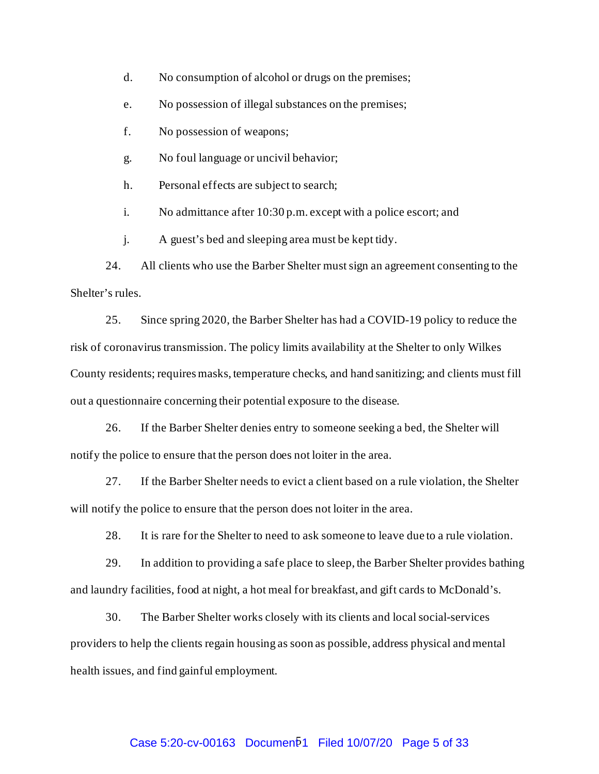d. No consumption of alcohol or drugs on the premises;

e. No possession of illegal substances on the premises;

f. No possession of weapons;

g. No foul language or uncivil behavior;

h. Personal effects are subject to search;

i. No admittance after 10:30 p.m. except with a police escort; and

j. A guest's bed and sleeping area must be kept tidy.

24. All clients who use the Barber Shelter must sign an agreement consenting to the Shelter's rules.

25. Since spring 2020, the Barber Shelter has had a COVID-19 policy to reduce the risk of coronavirus transmission. The policy limits availability at the Shelter to only Wilkes County residents; requires masks, temperature checks, and hand sanitizing; and clients must fill out a questionnaire concerning their potential exposure to the disease.

26. If the Barber Shelter denies entry to someone seeking a bed, the Shelter will notify the police to ensure that the person does not loiter in the area.

27. If the Barber Shelter needs to evict a client based on a rule violation, the Shelter will notify the police to ensure that the person does not loiter in the area.

28. It is rare for the Shelter to need to ask someone to leave due to a rule violation.

29. In addition to providing a safe place to sleep, the Barber Shelter provides bathing and laundry facilities, food at night, a hot meal for breakfast, and gift cards to McDonald's.

30. The Barber Shelter works closely with its clients and local social-services providers to help the clients regain housing as soon as possible, address physical and mental health issues, and find gainful employment.

# Case 5:20-cv-00163 Documen<sup>[1]</sup> Filed 10/07/20 Page 5 of 33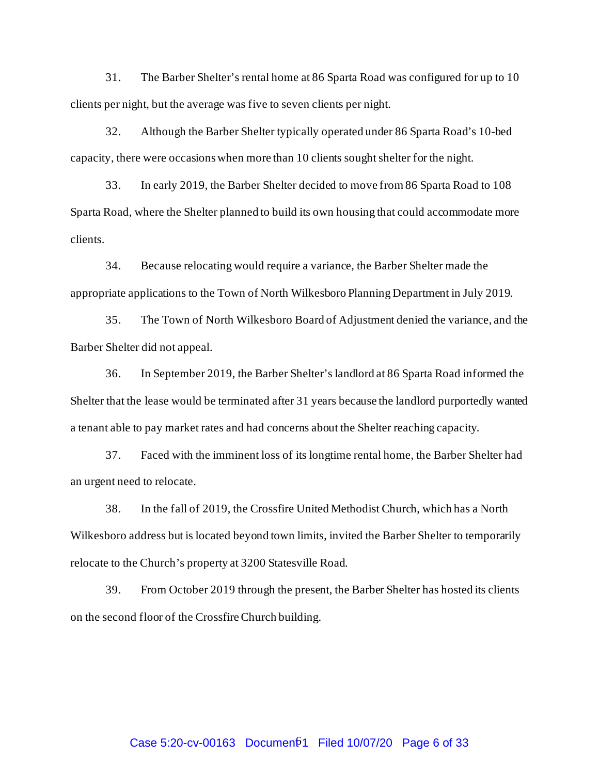31. The Barber Shelter's rental home at 86 Sparta Road was configured for up to 10 clients per night, but the average was five to seven clients per night.

32. Although the Barber Shelter typically operated under 86 Sparta Road's 10-bed capacity, there were occasions when more than 10 clients sought shelter for the night.

33. In early 2019, the Barber Shelter decided to move from 86 Sparta Road to 108 Sparta Road, where the Shelter planned to build its own housing that could accommodate more clients.

34. Because relocating would require a variance, the Barber Shelter made the appropriate applications to the Town of North Wilkesboro Planning Department in July 2019.

35. The Town of North Wilkesboro Board of Adjustment denied the variance, and the Barber Shelter did not appeal.

36. In September 2019, the Barber Shelter's landlord at 86 Sparta Road informed the Shelter that the lease would be terminated after 31 years because the landlord purportedly wanted a tenant able to pay market rates and had concerns about the Shelter reaching capacity.

37. Faced with the imminent loss of its longtime rental home, the Barber Shelter had an urgent need to relocate.

38. In the fall of 2019, the Crossfire United Methodist Church, which has a North Wilkesboro address but is located beyond town limits, invited the Barber Shelter to temporarily relocate to the Church's property at 3200 Statesville Road.

39. From October 2019 through the present, the Barber Shelter has hosted its clients on the second floor of the Crossfire Church building.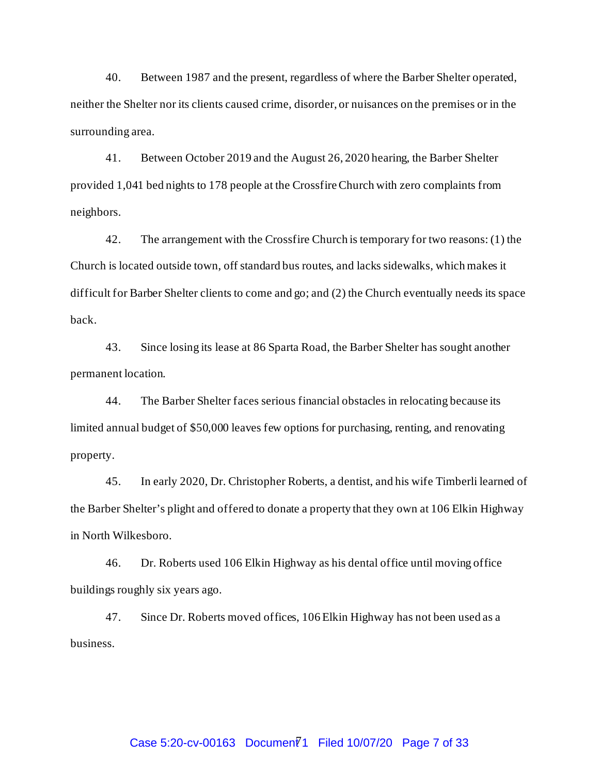40. Between 1987 and the present, regardless of where the Barber Shelter operated, neither the Shelter nor its clients caused crime, disorder, or nuisances on the premises or in the surrounding area.

41. Between October 2019 and the August 26, 2020 hearing, the Barber Shelter provided 1,041 bed nights to 178 people at the Crossfire Church with zero complaints from neighbors.

42. The arrangement with the Crossfire Church is temporary for two reasons: (1) the Church is located outside town, off standard bus routes, and lacks sidewalks, which makes it difficult for Barber Shelter clients to come and go; and (2) the Church eventually needs its space back.

43. Since losing its lease at 86 Sparta Road, the Barber Shelter has sought another permanent location.

44. The Barber Shelter faces serious financial obstacles in relocating because its limited annual budget of \$50,000 leaves few options for purchasing, renting, and renovating property.

45. In early 2020, Dr. Christopher Roberts, a dentist, and his wife Timberli learned of the Barber Shelter's plight and offered to donate a property that they own at 106 Elkin Highway in North Wilkesboro.

46. Dr. Roberts used 106 Elkin Highway as his dental office until moving office buildings roughly six years ago.

47. Since Dr. Roberts moved offices, 106 Elkin Highway has not been used as a business.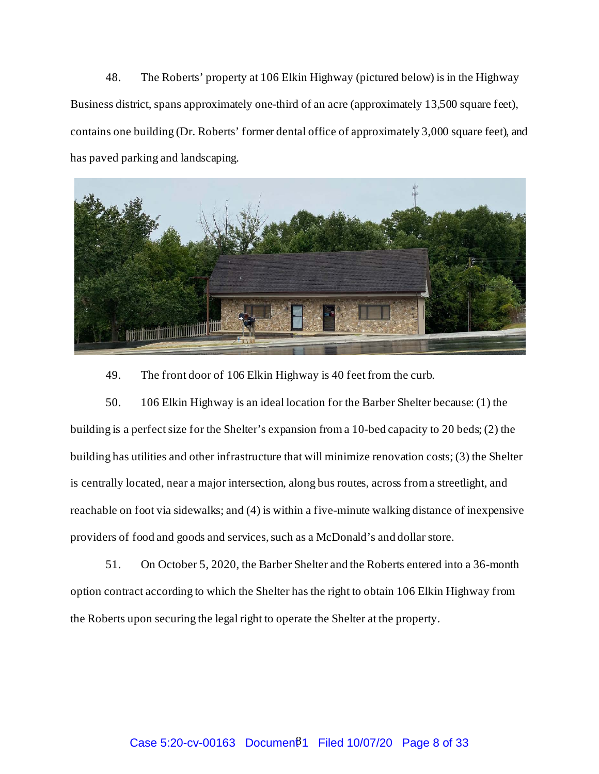48. The Roberts' property at 106 Elkin Highway (pictured below) is in the Highway Business district, spans approximately one-third of an acre (approximately 13,500 square feet), contains one building (Dr. Roberts' former dental office of approximately 3,000 square feet), and has paved parking and landscaping.



49. The front door of 106 Elkin Highway is 40 feet from the curb.

50. 106 Elkin Highway is an ideal location for the Barber Shelter because: (1) the building is a perfect size for the Shelter's expansion from a 10-bed capacity to 20 beds; (2) the building has utilities and other infrastructure that will minimize renovation costs; (3) the Shelter is centrally located, near a major intersection, along bus routes, across from a streetlight, and reachable on foot via sidewalks; and (4) is within a five-minute walking distance of inexpensive providers of food and goods and services, such as a McDonald's and dollar store.

51. On October 5, 2020, the Barber Shelter and the Roberts entered into a 36-month option contract according to which the Shelter has the right to obtain 106 Elkin Highway from the Roberts upon securing the legal right to operate the Shelter at the property.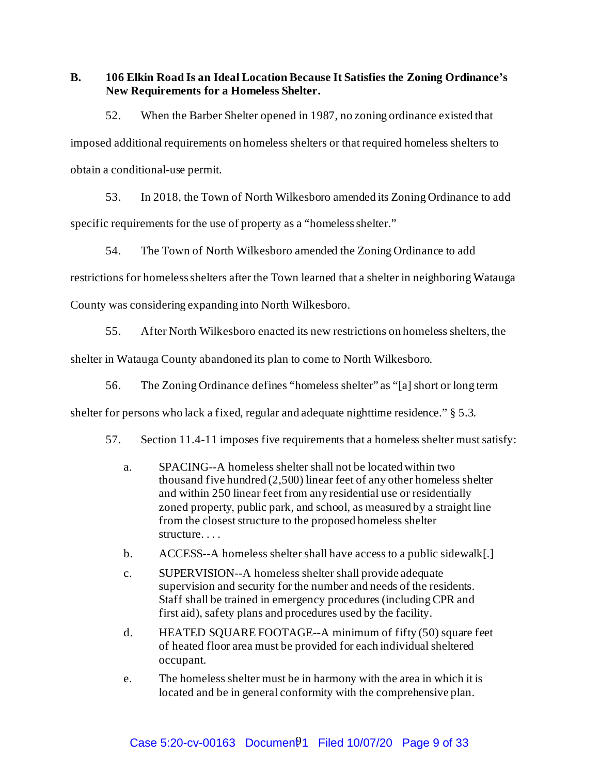**B. 106 Elkin Road Is an Ideal Location Because It Satisfies the Zoning Ordinance's New Requirements for a Homeless Shelter.**

52. When the Barber Shelter opened in 1987, no zoning ordinance existed that imposed additional requirements on homeless shelters or that required homeless shelters to obtain a conditional-use permit.

53. In 2018, the Town of North Wilkesboro amended its Zoning Ordinance to add specific requirements for the use of property as a "homeless shelter."

54. The Town of North Wilkesboro amended the Zoning Ordinance to add

restrictions for homeless shelters after the Town learned that a shelter in neighboring Watauga

County was considering expanding into North Wilkesboro.

55. After North Wilkesboro enacted its new restrictions on homeless shelters, the

shelter in Watauga County abandoned its plan to come to North Wilkesboro.

56. The Zoning Ordinance defines "homeless shelter" as "[a] short or long term

shelter for persons who lack a fixed, regular and adequate nighttime residence." § 5.3.

- 57. Section 11.4-11 imposes five requirements that a homeless shelter must satisfy:
	- a. SPACING--A homeless shelter shall not be located within two thousand five hundred (2,500) linear feet of any other homeless shelter and within 250 linear feet from any residential use or residentially zoned property, public park, and school, as measured by a straight line from the closest structure to the proposed homeless shelter structure. . . .
	- b. ACCESS--A homeless shelter shall have access to a public sidewalk[.]
	- c. SUPERVISION--A homeless shelter shall provide adequate supervision and security for the number and needs of the residents. Staff shall be trained in emergency procedures (including CPR and first aid), safety plans and procedures used by the facility.
	- d. HEATED SQUARE FOOTAGE--A minimum of fifty (50) square feet of heated floor area must be provided for each individual sheltered occupant.
	- e. The homeless shelter must be in harmony with the area in which it is located and be in general conformity with the comprehensive plan.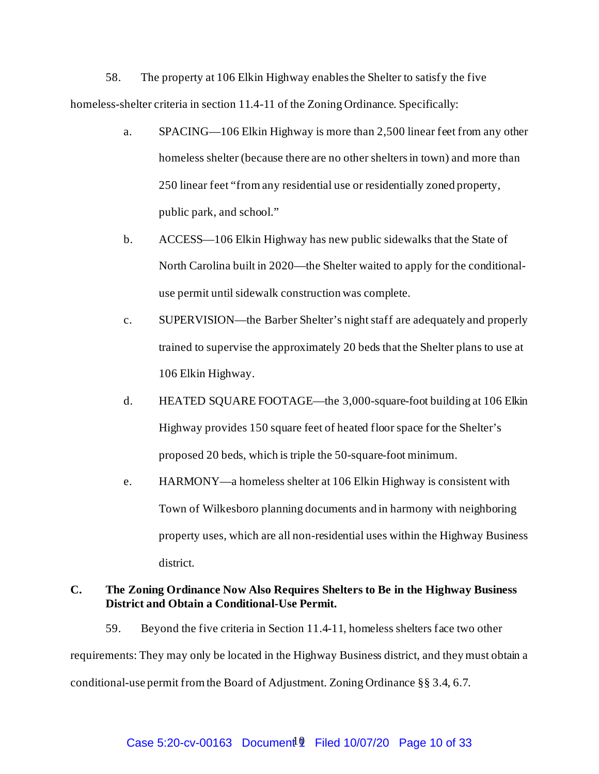58. The property at 106 Elkin Highway enablesthe Shelter to satisfy the five homeless-shelter criteria in section 11.4-11 of the Zoning Ordinance. Specifically:

- a. SPACING—106 Elkin Highway is more than 2,500 linear feet from any other homeless shelter (because there are no other shelters in town) and more than 250 linear feet "from any residential use or residentially zoned property, public park, and school."
- b. ACCESS—106 Elkin Highway has new public sidewalks that the State of North Carolina built in 2020—the Shelter waited to apply for the conditionaluse permit until sidewalk construction was complete.
- c. SUPERVISION—the Barber Shelter's night staff are adequately and properly trained to supervise the approximately 20 beds that the Shelter plans to use at 106 Elkin Highway.
- d. HEATED SQUARE FOOTAGE—the 3,000-square-foot building at 106 Elkin Highway provides 150 square feet of heated floor space for the Shelter's proposed 20 beds, which is triple the 50-square-foot minimum.
- e. HARMONY—a homeless shelter at 106 Elkin Highway is consistent with Town of Wilkesboro planning documents and in harmony with neighboring property uses, which are all non-residential uses within the Highway Business district.

#### **C. The Zoning Ordinance Now Also Requires Shelters to Be in the Highway Business District and Obtain a Conditional-Use Permit.**

59. Beyond the five criteria in Section 11.4-11, homeless shelters face two other requirements: They may only be located in the Highway Business district, and they must obtain a conditional-use permit from the Board of Adjustment. Zoning Ordinance §§ 3.4, 6.7.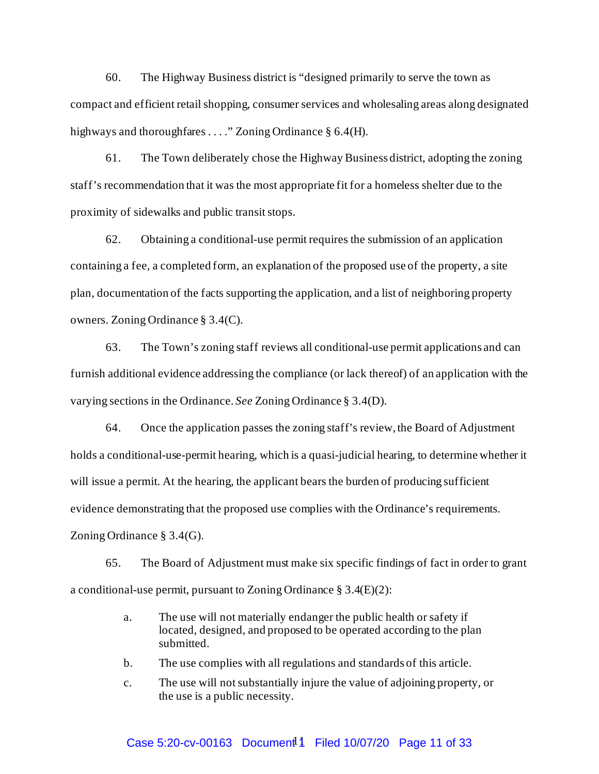60. The Highway Business district is "designed primarily to serve the town as compact and efficient retail shopping, consumer services and wholesaling areas along designated highways and thoroughfares . . . . " Zoning Ordinance § 6.4(H).

61. The Town deliberately chose the Highway Business district, adopting the zoning staff's recommendation that it was the most appropriate fit for a homeless shelter due to the proximity of sidewalks and public transit stops.

62. Obtaining a conditional-use permit requires the submission of an application containing a fee, a completed form, an explanation of the proposed use of the property, a site plan, documentation of the facts supporting the application, and a list of neighboring property owners. Zoning Ordinance § 3.4(C).

63. The Town's zoning staff reviews all conditional-use permit applications and can furnish additional evidence addressing the compliance (or lack thereof) of an application with the varying sections in the Ordinance. *See* Zoning Ordinance § 3.4(D).

64. Once the application passes the zoning staff's review, the Board of Adjustment holds a conditional-use-permit hearing, which is a quasi-judicial hearing, to determine whether it will issue a permit. At the hearing, the applicant bears the burden of producing sufficient evidence demonstrating that the proposed use complies with the Ordinance's requirements. Zoning Ordinance § 3.4(G).

65. The Board of Adjustment must make six specific findings of fact in order to grant a conditional-use permit, pursuant to Zoning Ordinance § 3.4(E)(2):

- a. The use will not materially endanger the public health or safety if located, designed, and proposed to be operated according to the plan submitted.
- b. The use complies with all regulations and standards of this article.
- c. The use will not substantially injure the value of adjoining property, or the use is a public necessity.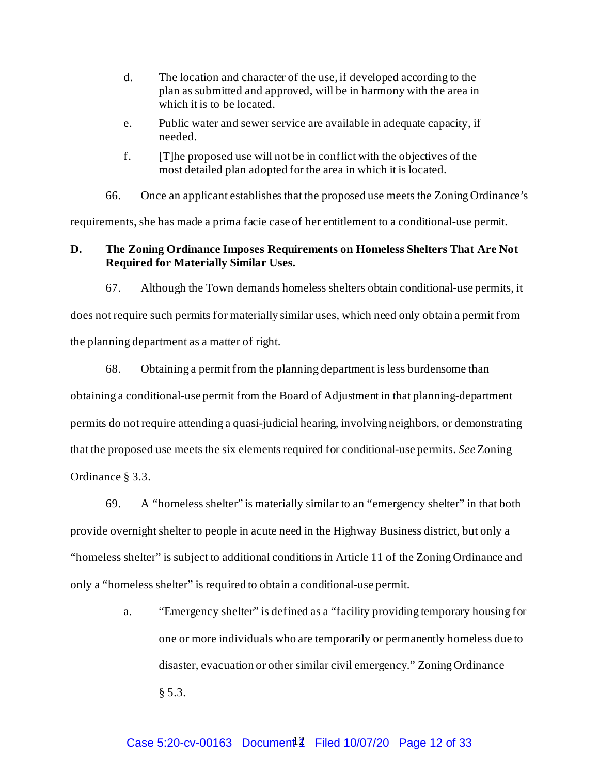- d. The location and character of the use, if developed according to the plan as submitted and approved, will be in harmony with the area in which it is to be located.
- e. Public water and sewer service are available in adequate capacity, if needed.
- f. [T]he proposed use will not be in conflict with the objectives of the most detailed plan adopted for the area in which it is located.

66. Once an applicant establishes that the proposed use meets the Zoning Ordinance's requirements, she has made a prima facie case of her entitlement to a conditional-use permit.

### **D. The Zoning Ordinance Imposes Requirements on Homeless Shelters That Are Not Required for Materially Similar Uses.**

67. Although the Town demands homeless shelters obtain conditional-use permits, it

does not require such permits for materially similar uses, which need only obtain a permit from the planning department as a matter of right.

68. Obtaining a permit from the planning department is less burdensome than obtaining a conditional-use permit from the Board of Adjustment in that planning-department permits do not require attending a quasi-judicial hearing, involving neighbors, or demonstrating that the proposed use meets the six elements required for conditional-use permits. *See* Zoning Ordinance § 3.3.

69. A "homeless shelter" is materially similar to an "emergency shelter" in that both provide overnight shelter to people in acute need in the Highway Business district, but only a "homeless shelter" is subject to additional conditions in Article 11 of the Zoning Ordinance and only a "homeless shelter" is required to obtain a conditional-use permit.

> a. "Emergency shelter" is defined as a "facility providing temporary housing for one or more individuals who are temporarily or permanently homeless due to disaster, evacuation or other similar civil emergency." Zoning Ordinance § 5.3.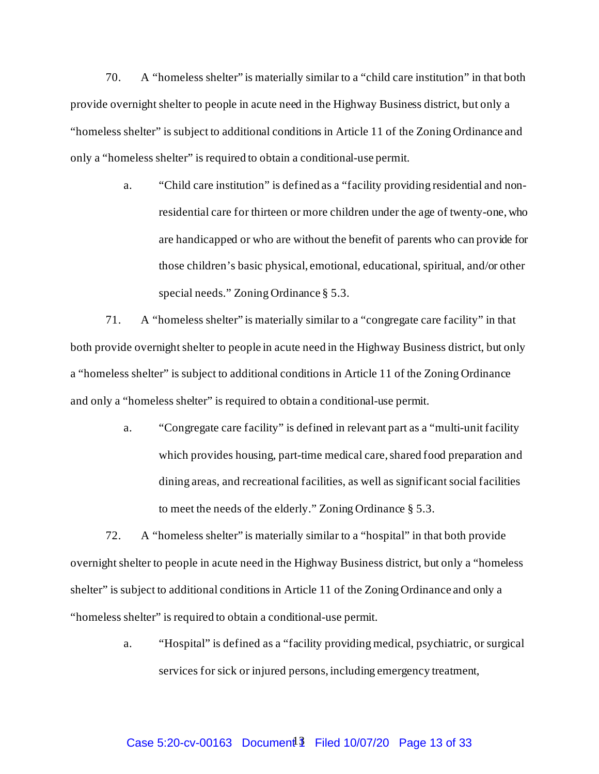70. A "homeless shelter" is materially similar to a "child care institution" in that both provide overnight shelter to people in acute need in the Highway Business district, but only a "homeless shelter" is subject to additional conditions in Article 11 of the Zoning Ordinance and only a "homeless shelter" is required to obtain a conditional-use permit.

> a. "Child care institution" is defined as a "facility providing residential and nonresidential care for thirteen or more children under the age of twenty-one, who are handicapped or who are without the benefit of parents who can provide for those children's basic physical, emotional, educational, spiritual, and/or other special needs." Zoning Ordinance § 5.3.

71. A "homeless shelter" is materially similar to a "congregate care facility" in that both provide overnight shelter to people in acute need in the Highway Business district, but only a "homeless shelter" is subject to additional conditions in Article 11 of the Zoning Ordinance and only a "homeless shelter" is required to obtain a conditional-use permit.

> a. "Congregate care facility" is defined in relevant part as a "multi-unit facility which provides housing, part-time medical care, shared food preparation and dining areas, and recreational facilities, as well as significant social facilities to meet the needs of the elderly." Zoning Ordinance § 5.3.

72. A "homeless shelter" is materially similar to a "hospital" in that both provide overnight shelter to people in acute need in the Highway Business district, but only a "homeless shelter" is subject to additional conditions in Article 11 of the Zoning Ordinance and only a "homeless shelter" is required to obtain a conditional-use permit.

> a. "Hospital" is defined as a "facility providing medical, psychiatric, or surgical services for sick or injured persons, including emergency treatment,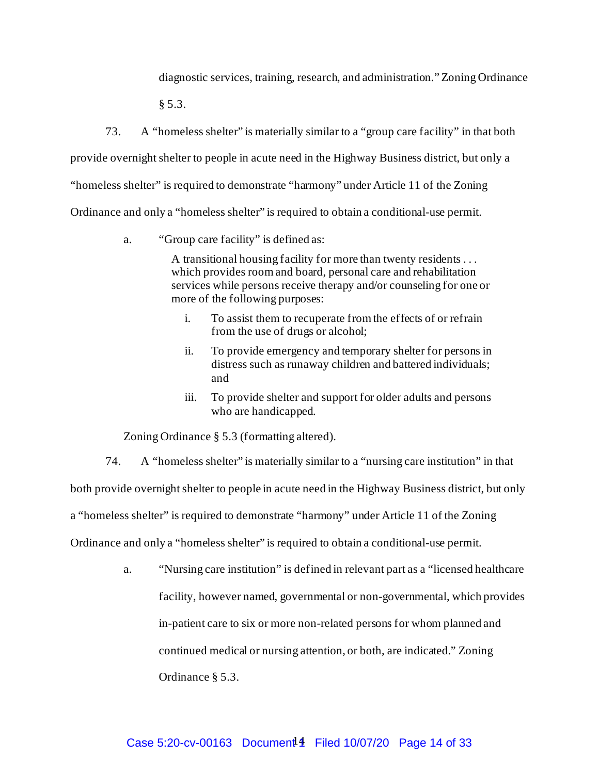diagnostic services, training, research, and administration."Zoning Ordinance

§ 5.3.

73. A "homeless shelter" is materially similar to a "group care facility" in that both provide overnight shelter to people in acute need in the Highway Business district, but only a "homeless shelter" is required to demonstrate "harmony" under Article 11 of the Zoning Ordinance and only a "homeless shelter" is required to obtain a conditional-use permit.

a. "Group care facility" is defined as:

A transitional housing facility for more than twenty residents . . . which provides room and board, personal care and rehabilitation services while persons receive therapy and/or counseling for one or more of the following purposes:

- i. To assist them to recuperate from the effects of or refrain from the use of drugs or alcohol;
- ii. To provide emergency and temporary shelter for persons in distress such as runaway children and battered individuals; and
- iii. To provide shelter and support for older adults and persons who are handicapped.

Zoning Ordinance § 5.3 (formatting altered).

74. A "homeless shelter" is materially similar to a "nursing care institution" in that both provide overnight shelter to people in acute need in the Highway Business district, but only a "homeless shelter" is required to demonstrate "harmony" under Article 11 of the Zoning Ordinance and only a "homeless shelter" is required to obtain a conditional-use permit.

> a. "Nursing care institution" is defined in relevant part as a "licensed healthcare facility, however named, governmental or non-governmental, which provides in-patient care to six or more non-related persons for whom planned and continued medical or nursing attention, or both, are indicated." Zoning Ordinance § 5.3.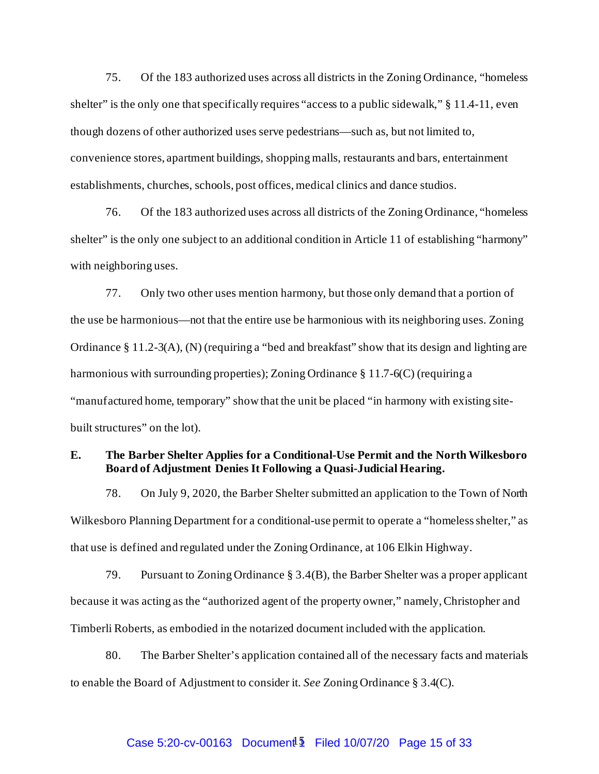75. Of the 183 authorized uses across all districts in the Zoning Ordinance, "homeless shelter" is the only one that specifically requires "access to a public sidewalk," § 11.4-11, even though dozens of other authorized uses serve pedestrians—such as, but not limited to, convenience stores, apartment buildings, shopping malls, restaurants and bars, entertainment establishments, churches, schools, post offices, medical clinics and dance studios.

76. Of the 183 authorized uses across all districts of the Zoning Ordinance, "homeless shelter" is the only one subject to an additional condition in Article 11 of establishing "harmony" with neighboring uses.

77. Only two other uses mention harmony, but those only demand that a portion of the use be harmonious—not that the entire use be harmonious with its neighboring uses. Zoning Ordinance § 11.2-3(A), (N) (requiring a "bed and breakfast" show that its design and lighting are harmonious with surrounding properties); Zoning Ordinance § 11.7-6(C) (requiring a "manufactured home, temporary" show that the unit be placed "in harmony with existing sitebuilt structures" on the lot).

#### **E. The Barber Shelter Applies for a Conditional-Use Permit and the North Wilkesboro Board of Adjustment Denies It Following a Quasi-Judicial Hearing.**

78. On July 9, 2020, the Barber Shelter submitted an application to the Town of North Wilkesboro Planning Department for a conditional-use permit to operate a "homeless shelter," as that use is defined and regulated under the Zoning Ordinance, at 106 Elkin Highway.

79. Pursuant to Zoning Ordinance § 3.4(B), the Barber Shelter was a proper applicant because it was acting as the "authorized agent of the property owner," namely, Christopher and Timberli Roberts, as embodied in the notarized document included with the application.

80. The Barber Shelter's application contained all of the necessary facts and materials to enable the Board of Adjustment to consider it. *See* Zoning Ordinance § 3.4(C).

# Case 5:20-cv-00163 Document<sup>1</sup> Filed 10/07/20 Page 15 of 33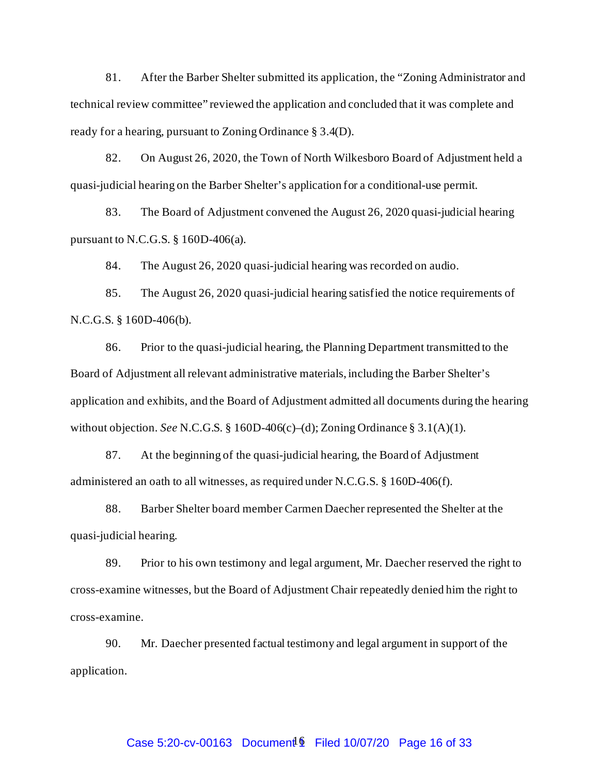81. After the Barber Shelter submitted its application, the "Zoning Administrator and technical review committee" reviewed the application and concluded that it was complete and ready for a hearing, pursuant to Zoning Ordinance § 3.4(D).

82. On August 26, 2020, the Town of North Wilkesboro Board of Adjustment held a quasi-judicial hearing on the Barber Shelter's application for a conditional-use permit.

83. The Board of Adjustment convened the August 26, 2020 quasi-judicial hearing pursuant to N.C.G.S.  $\S$  160D-406(a).

84. The August 26, 2020 quasi-judicial hearing was recorded on audio.

85. The August 26, 2020 quasi-judicial hearing satisfied the notice requirements of N.C.G.S. § 160D-406(b).

86. Prior to the quasi-judicial hearing, the Planning Department transmitted to the Board of Adjustment all relevant administrative materials, including the Barber Shelter's application and exhibits, and the Board of Adjustment admitted all documents during the hearing without objection. *See* N.C.G.S. § 160D-406(c)–(d); Zoning Ordinance § 3.1(A)(1).

87. At the beginning of the quasi-judicial hearing, the Board of Adjustment administered an oath to all witnesses, as required under N.C.G.S. § 160D-406(f).

88. Barber Shelter board member Carmen Daecher represented the Shelter at the quasi-judicial hearing.

89. Prior to his own testimony and legal argument, Mr. Daecher reserved the right to cross-examine witnesses, but the Board of Adjustment Chair repeatedly denied him the right to cross-examine.

90. Mr. Daecher presented factual testimony and legal argument in support of the application.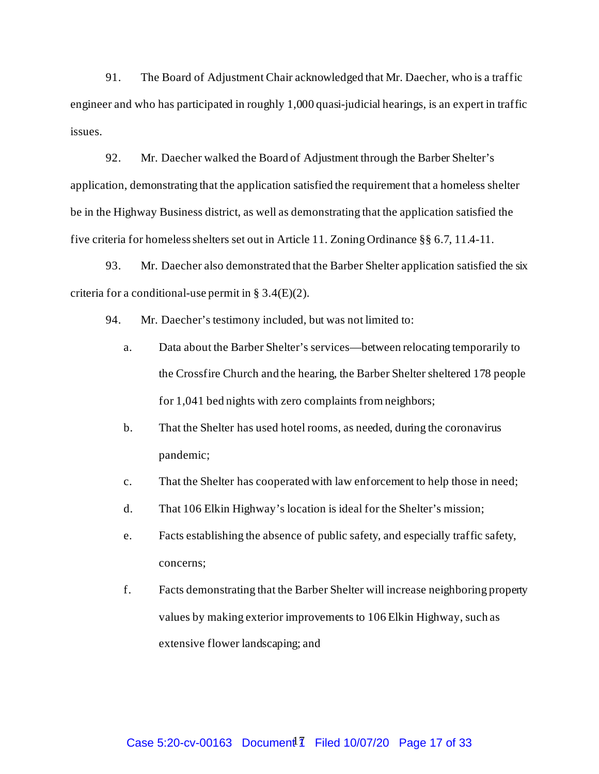91. The Board of Adjustment Chair acknowledged that Mr. Daecher, who is a traffic engineer and who has participated in roughly 1,000 quasi-judicial hearings, is an expert in traffic issues.

92. Mr. Daecher walked the Board of Adjustment through the Barber Shelter's application, demonstrating that the application satisfied the requirement that a homeless shelter be in the Highway Business district, as well as demonstrating that the application satisfied the five criteria for homeless shelters set out in Article 11. Zoning Ordinance §§ 6.7, 11.4-11.

93. Mr. Daecher also demonstrated that the Barber Shelter application satisfied the six criteria for a conditional-use permit in §  $3.4(E)(2)$ .

- 94. Mr. Daecher's testimony included, but was not limited to:
	- a. Data about the Barber Shelter's services—between relocating temporarily to the Crossfire Church and the hearing, the Barber Shelter sheltered 178 people for 1,041 bed nights with zero complaints from neighbors;
	- b. That the Shelter has used hotel rooms, as needed, during the coronavirus pandemic;
	- c. That the Shelter has cooperated with law enforcement to help those in need;
	- d. That 106 Elkin Highway's location is ideal for the Shelter's mission;
	- e. Facts establishing the absence of public safety, and especially traffic safety, concerns;
	- f. Facts demonstrating that the Barber Shelter will increase neighboring property values by making exterior improvements to 106 Elkin Highway, such as extensive flower landscaping; and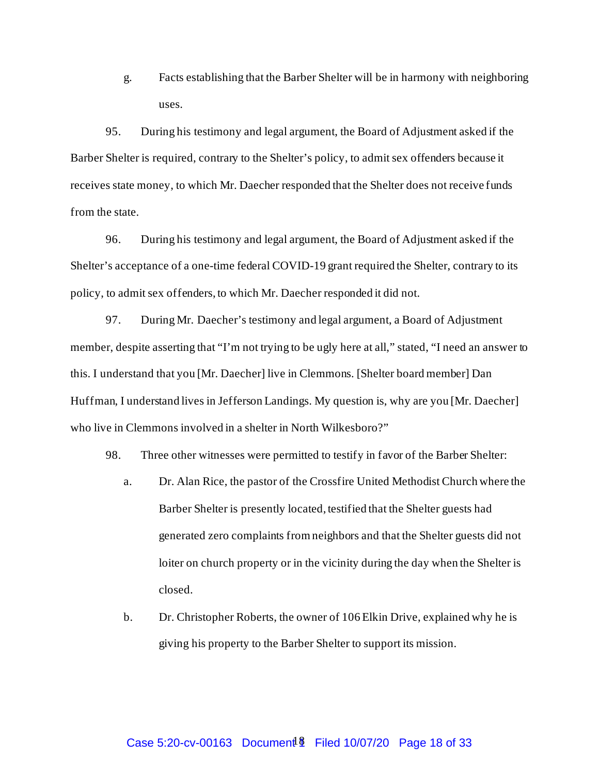g. Facts establishing that the Barber Shelter will be in harmony with neighboring uses.

95. During his testimony and legal argument, the Board of Adjustment asked if the Barber Shelter is required, contrary to the Shelter's policy, to admit sex offenders because it receives state money, to which Mr. Daecher responded that the Shelter does not receive funds from the state.

96. During his testimony and legal argument, the Board of Adjustment asked if the Shelter's acceptance of a one-time federal COVID-19 grant required the Shelter, contrary to its policy, to admit sex offenders, to which Mr. Daecher responded it did not.

97. During Mr. Daecher's testimony and legal argument, a Board of Adjustment member, despite asserting that "I'm not trying to be ugly here at all," stated, "I need an answer to this. I understand that you [Mr. Daecher] live in Clemmons. [Shelter board member] Dan Huffman, I understand lives in Jefferson Landings. My question is, why are you [Mr. Daecher] who live in Clemmons involved in a shelter in North Wilkesboro?"

98. Three other witnesses were permitted to testify in favor of the Barber Shelter:

- a. Dr. Alan Rice, the pastor of the Crossfire United Methodist Church where the Barber Shelter is presently located, testified that the Shelter guests had generated zero complaints from neighbors and that the Shelter guests did not loiter on church property or in the vicinity during the day when the Shelter is closed.
- b. Dr. Christopher Roberts, the owner of 106 Elkin Drive, explained why he is giving his property to the Barber Shelter to support its mission.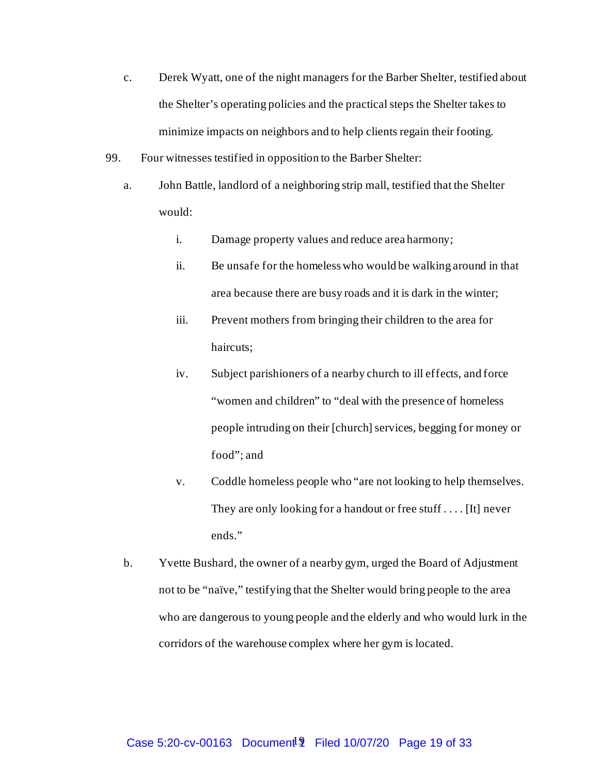- c. Derek Wyatt, one of the night managers for the Barber Shelter, testified about the Shelter's operating policies and the practical steps the Shelter takes to minimize impacts on neighbors and to help clients regain their footing.
- 99. Four witnesses testified in opposition to the Barber Shelter:
	- a. John Battle, landlord of a neighboring strip mall, testified that the Shelter would:
		- i. Damage property values and reduce area harmony;
		- ii. Be unsafe for the homeless who would be walking around in that area because there are busy roads and it is dark in the winter;
		- iii. Prevent mothers from bringing their children to the area for haircuts;
		- iv. Subject parishioners of a nearby church to ill effects, and force "women and children" to "deal with the presence of homeless people intruding on their [church] services, begging for money or food"; and
		- v. Coddle homeless people who "are not looking to help themselves. They are only looking for a handout or free stuff . . . . [It] never ends."
	- b. Yvette Bushard, the owner of a nearby gym, urged the Board of Adjustment not to be "naïve," testifying that the Shelter would bring people to the area who are dangerous to young people and the elderly and who would lurk in the corridors of the warehouse complex where her gym is located.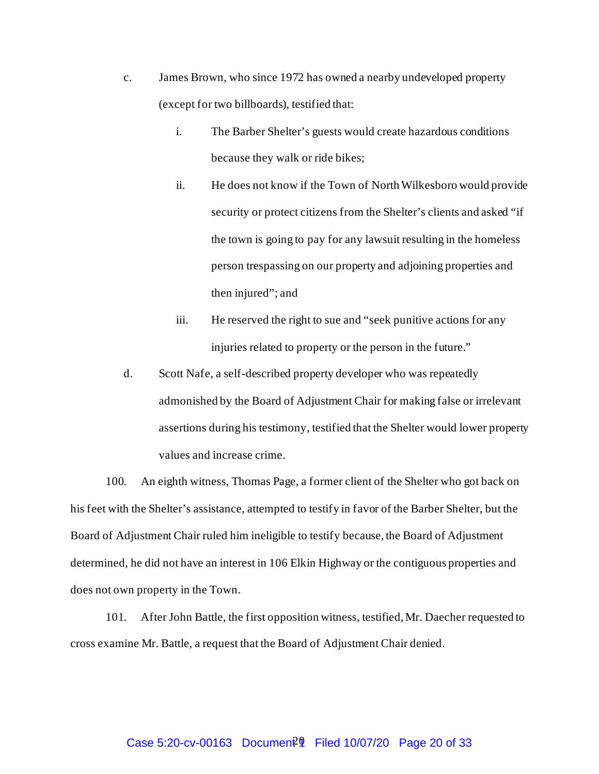- c. James Brown, who since 1972 has owned a nearby undeveloped property (except for two billboards), testified that:
	- i. The Barber Shelter's guests would create hazardous conditions because they walk or ride bikes;
	- ii. He does not know if the Town of North Wilkesboro would provide security or protect citizens from the Shelter's clients and asked "if the town is going to pay for any lawsuit resulting in the homeless person trespassing on our property and adjoining properties and then injured"; and
	- iii. He reserved the right to sue and "seek punitive actions for any injuries related to property or the person in the future."
- d. Scott Nafe, a self-described property developer who was repeatedly admonished by the Board of Adjustment Chair for making false or irrelevant assertions during his testimony, testified that the Shelter would lower property values and increase crime.

100. An eighth witness, Thomas Page, a former client of the Shelter who got back on his feet with the Shelter's assistance, attempted to testify in favor of the Barber Shelter, but the Board of Adjustment Chair ruled him ineligible to testify because, the Board of Adjustment determined, he did not have an interest in 106 Elkin Highway or the contiguous properties and does not own property in the Town.

101. After John Battle, the first opposition witness, testified, Mr. Daecher requested to cross examine Mr. Battle, a request that the Board of Adjustment Chair denied.

# Case 5:20-cv-00163 Document<sup>20</sup> Filed 10/07/20 Page 20 of 33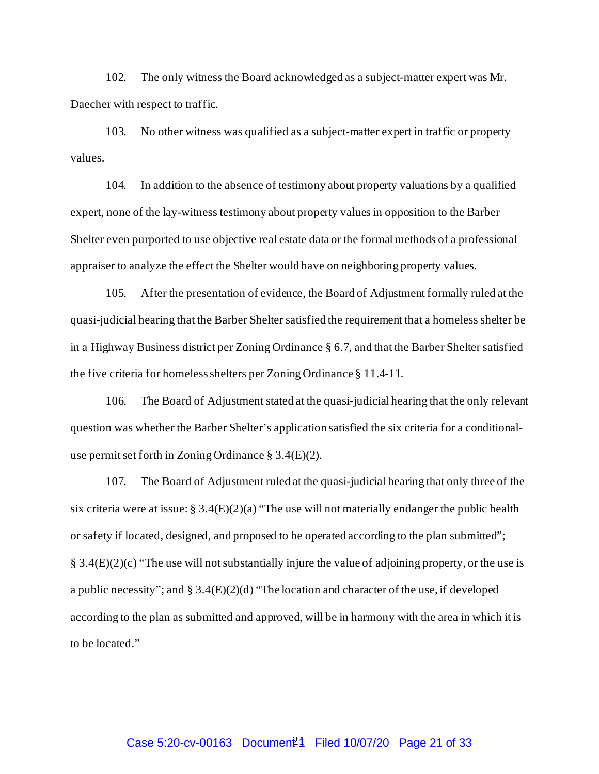102. The only witness the Board acknowledged as a subject-matter expert was Mr. Daecher with respect to traffic.

103. No other witness was qualified as a subject-matter expert in traffic or property values.

104. In addition to the absence of testimony about property valuations by a qualified expert, none of the lay-witness testimony about property values in opposition to the Barber Shelter even purported to use objective real estate data or the formal methods of a professional appraiser to analyze the effect the Shelter would have on neighboring property values.

105. After the presentation of evidence, the Board of Adjustment formally ruled at the quasi-judicial hearing that the Barber Shelter satisfied the requirement that a homeless shelter be in a Highway Business district per Zoning Ordinance § 6.7, and that the Barber Shelter satisfied the five criteria for homeless shelters per Zoning Ordinance § 11.4-11.

106. The Board of Adjustment stated at the quasi-judicial hearing that the only relevant question was whether the Barber Shelter's application satisfied the six criteria for a conditionaluse permit set forth in Zoning Ordinance § 3.4(E)(2).

107. The Board of Adjustment ruled at the quasi-judicial hearing that only three of the six criteria were at issue:  $\S 3.4(E)(2)(a)$  "The use will not materially endanger the public health or safety if located, designed, and proposed to be operated according to the plan submitted"; § 3.4(E)(2)(c) "The use will not substantially injure the value of adjoining property, or the use is a public necessity"; and § 3.4(E)(2)(d) "The location and character of the use, if developed according to the plan as submitted and approved, will be in harmony with the area in which it is to be located."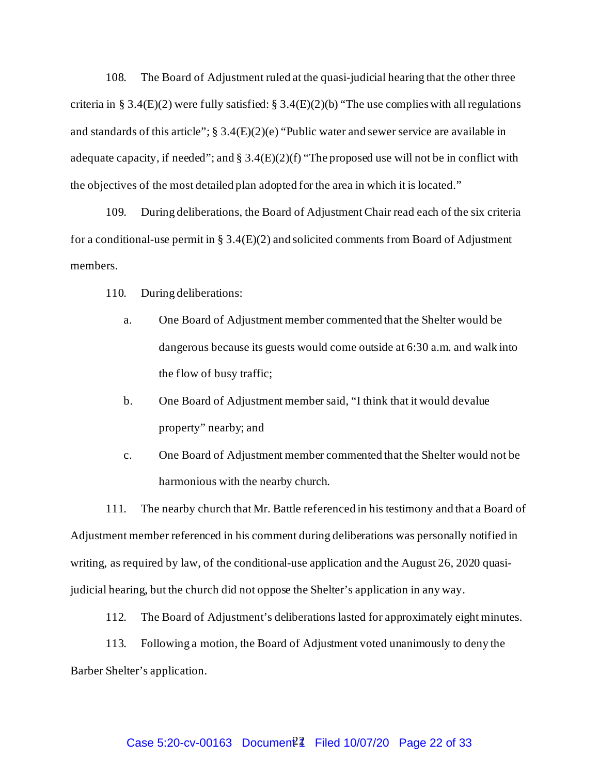108. The Board of Adjustment ruled at the quasi-judicial hearing that the other three criteria in § 3.4(E)(2) were fully satisfied: § 3.4(E)(2)(b) "The use complies with all regulations and standards of this article";  $\S 3.4(E)(2)(e)$  "Public water and sewer service are available in adequate capacity, if needed"; and  $\S 3.4(E)(2)(f)$  "The proposed use will not be in conflict with the objectives of the most detailed plan adopted for the area in which it is located."

109. During deliberations, the Board of Adjustment Chair read each of the six criteria for a conditional-use permit in § 3.4( $E$ )(2) and solicited comments from Board of Adjustment members.

110. During deliberations:

- a. One Board of Adjustment member commented that the Shelter would be dangerous because its guests would come outside at 6:30 a.m. and walk into the flow of busy traffic;
- b. One Board of Adjustment member said, "I think that it would devalue property" nearby; and
- c. One Board of Adjustment member commented that the Shelter would not be harmonious with the nearby church.

111. The nearby church that Mr. Battle referenced in his testimony and that a Board of Adjustment member referenced in his comment during deliberations was personally notified in writing, as required by law, of the conditional-use application and the August 26, 2020 quasijudicial hearing, but the church did not oppose the Shelter's application in any way.

112. The Board of Adjustment's deliberations lasted for approximately eight minutes.

113. Following a motion, the Board of Adjustment voted unanimously to deny the Barber Shelter's application.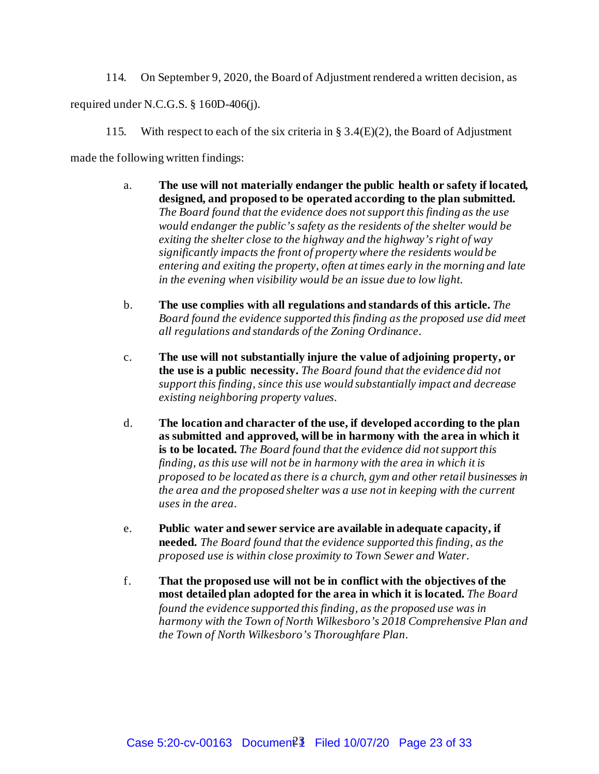114. On September 9, 2020, the Board of Adjustment rendered a written decision, as

required under N.C.G.S. § 160D-406(j).

115. With respect to each of the six criteria in § 3.4(E)(2), the Board of Adjustment

made the following written findings:

- a. **The use will not materially endanger the public health or safety if located, designed, and proposed to be operated according to the plan submitted.** *The Board found that the evidence does not support this finding as the use would endanger the public's safety as the residents of the shelter would be exiting the shelter close to the highway and the highway's right of way significantly impacts the front of property where the residents would be entering and exiting the property, often at times early in the morning and late in the evening when visibility would be an issue due to low light*.
- b. **The use complies with all regulations and standards of this article.** *The Board found the evidence supported this finding as the proposed use did meet all regulations and standards of the Zoning Ordinance*.
- c. **The use will not substantially injure the value of adjoining property, or the use is a public necessity.** *The Board found that the evidence did not support this finding, since this use would substantially impact and decrease existing neighboring property values*.
- d. **The location and character of the use, if developed according to the plan as submitted and approved, will be in harmony with the area in which it is to be located.** *The Board found that the evidence did not support this finding, as this use will not be in harmony with the area in which it is proposed to be located as there is a church, gym and other retail businesses in the area and the proposed shelter was a use not in keeping with the current uses in the area*.
- e. **Public water and sewer service are available in adequate capacity, if needed.** *The Board found that the evidence supported this finding, as the proposed use is within close proximity to Town Sewer and Water*.
- f. **That the proposed use will not be in conflict with the objectives of the most detailed plan adopted for the area in which it is located.** *The Board found the evidence supported this finding, as the proposed use was in harmony with the Town of North Wilkesboro's 2018 Comprehensive Plan and the Town of North Wilkesboro's Thoroughfare Plan*.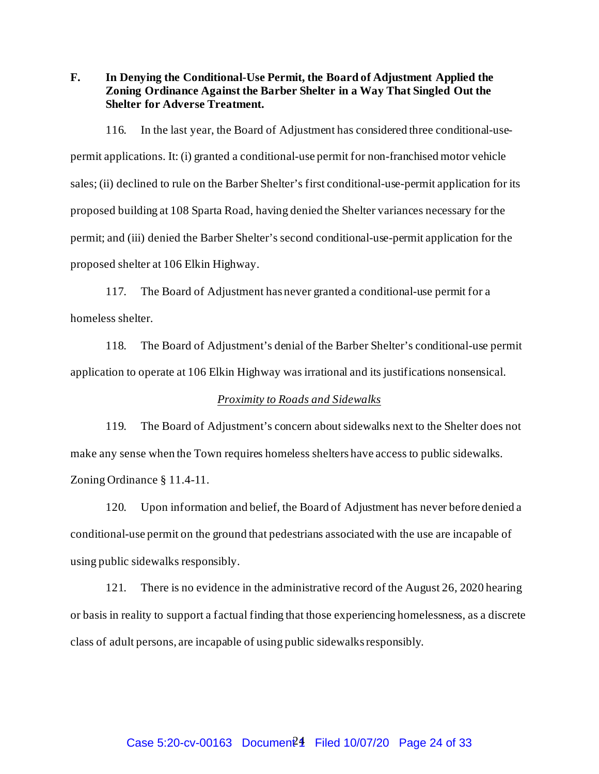**F. In Denying the Conditional-Use Permit, the Board of Adjustment Applied the Zoning Ordinance Against the Barber Shelter in a Way That Singled Out the Shelter for Adverse Treatment.**

116. In the last year, the Board of Adjustment has considered three conditional-usepermit applications. It: (i) granted a conditional-use permit for non-franchised motor vehicle sales; (ii) declined to rule on the Barber Shelter's first conditional-use-permit application for its proposed building at 108 Sparta Road, having denied the Shelter variances necessary for the permit; and (iii) denied the Barber Shelter's second conditional-use-permit application for the proposed shelter at 106 Elkin Highway.

117. The Board of Adjustment has never granted a conditional-use permit for a homeless shelter.

118. The Board of Adjustment's denial of the Barber Shelter's conditional-use permit application to operate at 106 Elkin Highway was irrational and its justifications nonsensical.

#### *Proximity to Roads and Sidewalks*

119. The Board of Adjustment's concern about sidewalks next to the Shelter does not make any sense when the Town requires homeless shelters have access to public sidewalks. Zoning Ordinance § 11.4-11.

120. Upon information and belief, the Board of Adjustment has never before denied a conditional-use permit on the ground that pedestrians associated with the use are incapable of using public sidewalks responsibly.

121. There is no evidence in the administrative record of the August 26, 2020 hearing or basis in reality to support a factual finding that those experiencing homelessness, as a discrete class of adult persons, are incapable of using public sidewalks responsibly.

# Case 5:20-cv-00163 Document<sup>24</sup> Filed 10/07/20 Page 24 of 33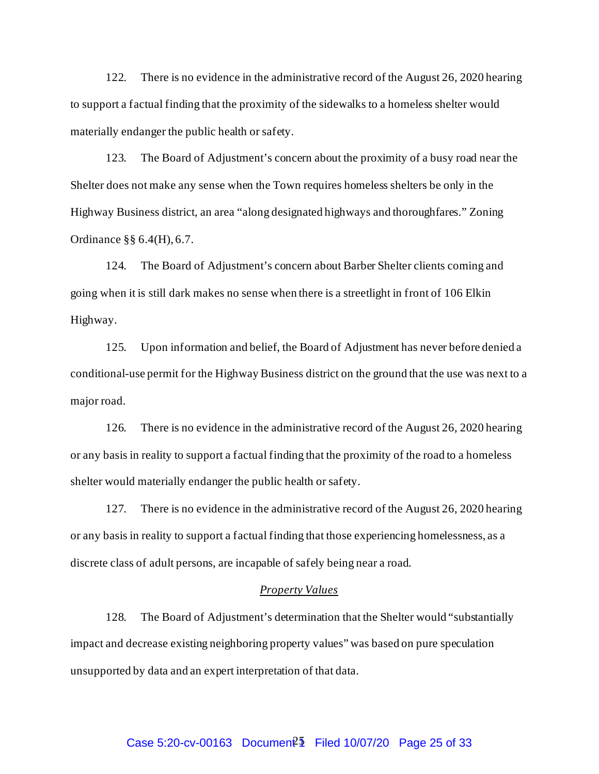122. There is no evidence in the administrative record of the August 26, 2020 hearing to support a factual finding that the proximity of the sidewalks to a homeless shelter would materially endanger the public health or safety.

123. The Board of Adjustment's concern about the proximity of a busy road near the Shelter does not make any sense when the Town requires homeless shelters be only in the Highway Business district, an area "along designated highways and thoroughfares." Zoning Ordinance §§ 6.4(H), 6.7.

124. The Board of Adjustment's concern about Barber Shelter clients coming and going when it is still dark makes no sense when there is a streetlight in front of 106 Elkin Highway.

125. Upon information and belief, the Board of Adjustment has never before denied a conditional-use permit for the Highway Business district on the ground that the use was next to a major road.

126. There is no evidence in the administrative record of the August 26, 2020 hearing or any basis in reality to support a factual finding that the proximity of the road to a homeless shelter would materially endanger the public health or safety.

127. There is no evidence in the administrative record of the August 26, 2020 hearing or any basis in reality to support a factual finding that those experiencing homelessness, as a discrete class of adult persons, are incapable of safely being near a road.

#### *Property Values*

128. The Board of Adjustment's determination that the Shelter would "substantially impact and decrease existing neighboring property values" was based on pure speculation unsupported by data and an expert interpretation of that data.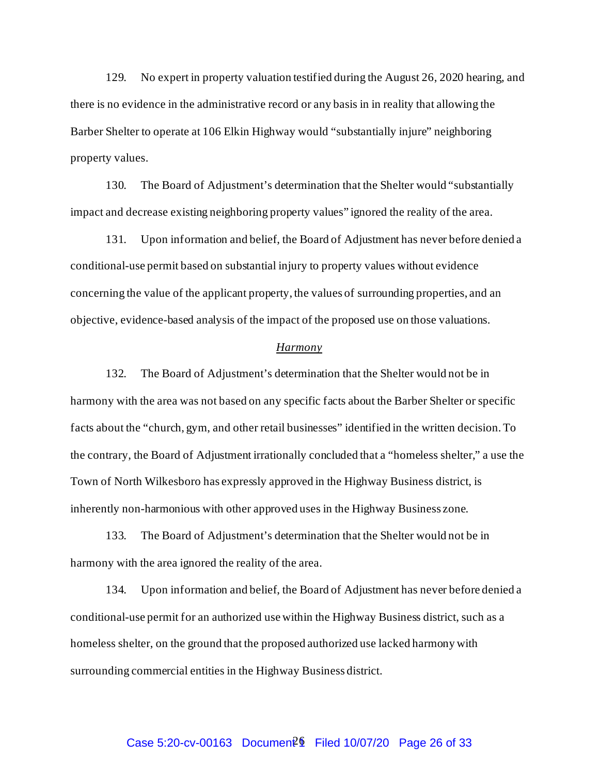129. No expert in property valuation testified during the August 26, 2020 hearing, and there is no evidence in the administrative record or any basis in in reality that allowing the Barber Shelter to operate at 106 Elkin Highway would "substantially injure" neighboring property values.

130. The Board of Adjustment's determination that the Shelter would "substantially impact and decrease existing neighboring property values" ignored the reality of the area.

131. Upon information and belief, the Board of Adjustment has never before denied a conditional-use permit based on substantial injury to property values without evidence concerning the value of the applicant property, the values of surrounding properties, and an objective, evidence-based analysis of the impact of the proposed use on those valuations.

#### *Harmony*

132. The Board of Adjustment's determination that the Shelter would not be in harmony with the area was not based on any specific facts about the Barber Shelter or specific facts about the "church, gym, and other retail businesses" identified in the written decision. To the contrary, the Board of Adjustment irrationally concluded that a "homeless shelter," a use the Town of North Wilkesboro has expressly approved in the Highway Business district, is inherently non-harmonious with other approved uses in the Highway Business zone.

133. The Board of Adjustment's determination that the Shelter would not be in harmony with the area ignored the reality of the area.

134. Upon information and belief, the Board of Adjustment has never before denied a conditional-use permit for an authorized use within the Highway Business district, such as a homeless shelter, on the ground that the proposed authorized use lacked harmony with surrounding commercial entities in the Highway Business district.

# Case 5:20-cv-00163 Document<sup>26</sup> Filed 10/07/20 Page 26 of 33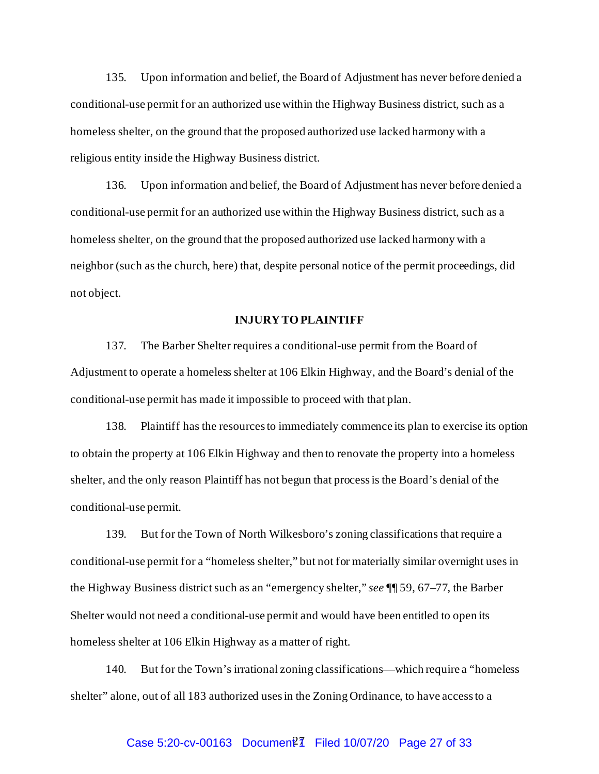135. Upon information and belief, the Board of Adjustment has never before denied a conditional-use permit for an authorized use within the Highway Business district, such as a homeless shelter, on the ground that the proposed authorized use lacked harmony with a religious entity inside the Highway Business district.

136. Upon information and belief, the Board of Adjustment has never before denied a conditional-use permit for an authorized use within the Highway Business district, such as a homeless shelter, on the ground that the proposed authorized use lacked harmony with a neighbor (such as the church, here) that, despite personal notice of the permit proceedings, did not object.

#### **INJURY TOPLAINTIFF**

137. The Barber Shelter requires a conditional-use permit from the Board of Adjustment to operate a homeless shelter at 106 Elkin Highway, and the Board's denial of the conditional-use permit has made it impossible to proceed with that plan.

138. Plaintiff has the resources to immediately commence its plan to exercise its option to obtain the property at 106 Elkin Highway and then to renovate the property into a homeless shelter, and the only reason Plaintiff has not begun that process is the Board's denial of the conditional-use permit.

139. But for the Town of North Wilkesboro's zoning classifications that require a conditional-use permit for a "homeless shelter," but not for materially similar overnight uses in the Highway Business district such as an "emergency shelter," *see* ¶¶ 59, 67–77, the Barber Shelter would not need a conditional-use permit and would have been entitled to open its homeless shelter at 106 Elkin Highway as a matter of right.

140. But for the Town's irrational zoning classifications—which require a "homeless shelter" alone, out of all 183 authorized uses in the Zoning Ordinance, to have access to a

# Case 5:20-cv-00163 Document<sup>2</sup>1 Filed 10/07/20 Page 27 of 33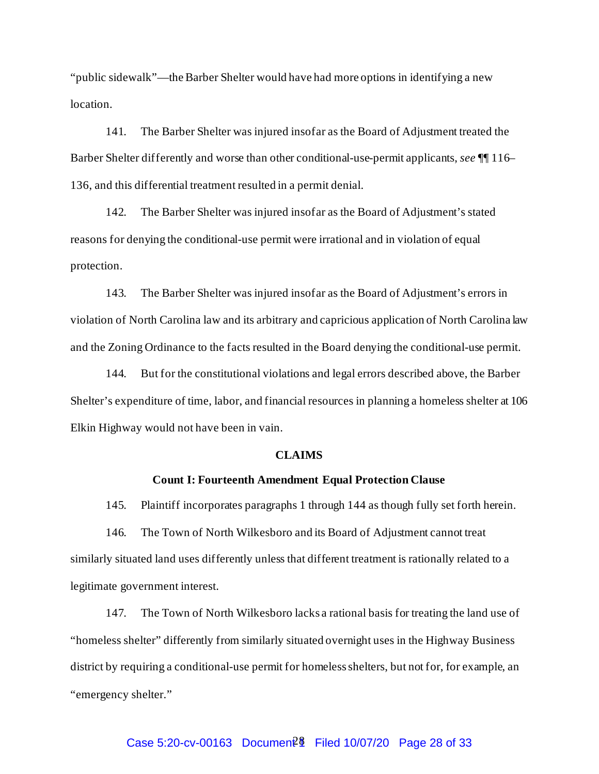"public sidewalk"—the Barber Shelter would have had more options in identifying a new location.

141. The Barber Shelter was injured insofar as the Board of Adjustment treated the Barber Shelter differently and worse than other conditional-use-permit applicants, *see* ¶¶ 116– 136, and this differential treatment resulted in a permit denial.

142. The Barber Shelter was injured insofar as the Board of Adjustment's stated reasons for denying the conditional-use permit were irrational and in violation of equal protection.

143. The Barber Shelter was injured insofar as the Board of Adjustment's errors in violation of North Carolina law and its arbitrary and capricious application of North Carolina law and the Zoning Ordinance to the facts resulted in the Board denying the conditional-use permit.

144. But for the constitutional violations and legal errors described above, the Barber Shelter's expenditure of time, labor, and financial resources in planning a homeless shelter at 106 Elkin Highway would not have been in vain.

#### **CLAIMS**

#### **Count I: Fourteenth Amendment Equal Protection Clause**

145. Plaintiff incorporates paragraphs 1 through 144 as though fully set forth herein.

146. The Town of North Wilkesboro and its Board of Adjustment cannot treat similarly situated land uses differently unless that different treatment is rationally related to a legitimate government interest.

147. The Town of North Wilkesboro lacks a rational basis for treating the land use of "homeless shelter" differently from similarly situated overnight uses in the Highway Business district by requiring a conditional-use permit for homeless shelters, but not for, for example, an "emergency shelter."

# Case 5:20-cv-00163 Documen<sup>2</sup> Filed 10/07/20 Page 28 of 33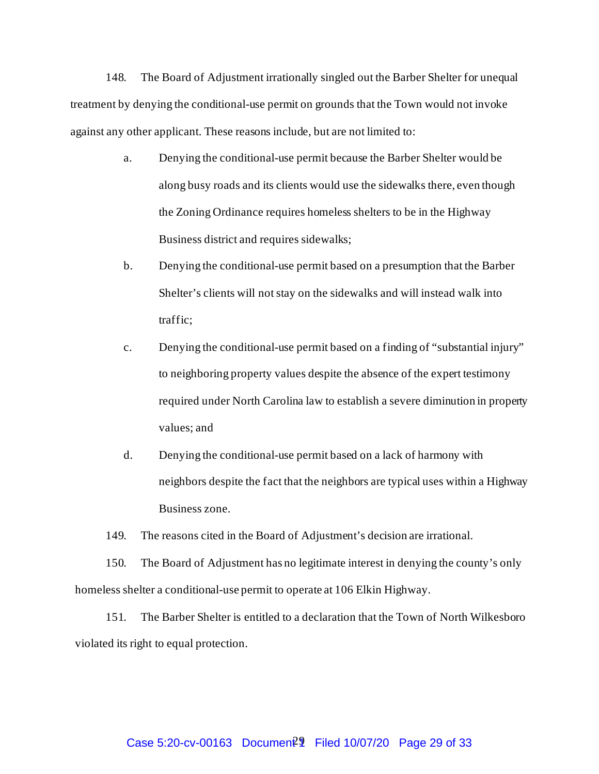148. The Board of Adjustment irrationally singled out the Barber Shelter for unequal treatment by denying the conditional-use permit on grounds that the Town would not invoke against any other applicant. These reasons include, but are not limited to:

- a. Denying the conditional-use permit because the Barber Shelter would be along busy roads and its clients would use the sidewalks there, even though the Zoning Ordinance requires homeless shelters to be in the Highway Business district and requires sidewalks;
- b. Denying the conditional-use permit based on a presumption that the Barber Shelter's clients will not stay on the sidewalks and will instead walk into traffic;
- c. Denying the conditional-use permit based on a finding of "substantial injury" to neighboring property values despite the absence of the expert testimony required under North Carolina law to establish a severe diminution in property values; and
- d. Denying the conditional-use permit based on a lack of harmony with neighbors despite the fact that the neighbors are typical uses within a Highway Business zone.

149. The reasons cited in the Board of Adjustment's decision are irrational.

150. The Board of Adjustment has no legitimate interest in denying the county's only homeless shelter a conditional-use permit to operate at 106 Elkin Highway.

151. The Barber Shelter is entitled to a declaration that the Town of North Wilkesboro violated its right to equal protection.

# Case 5:20-cv-00163 Document<sup>2</sup> Filed 10/07/20 Page 29 of 33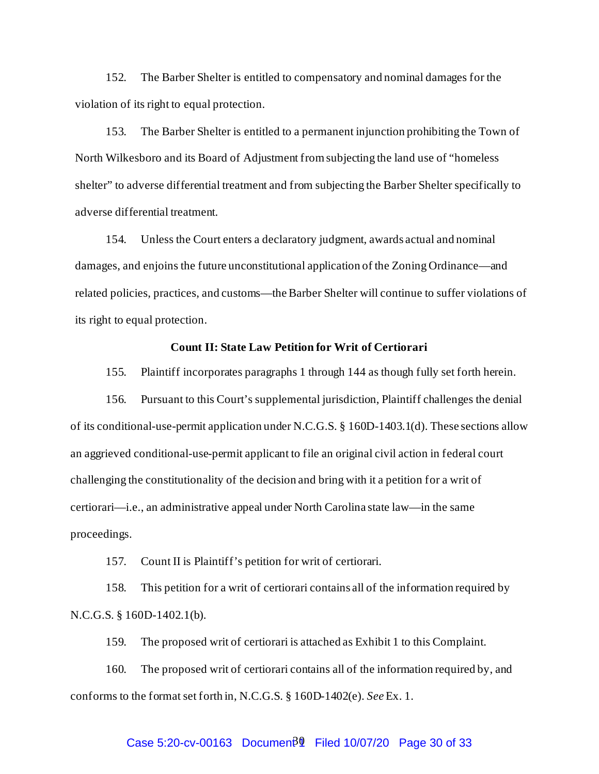152. The Barber Shelter is entitled to compensatory and nominal damages for the violation of its right to equal protection.

153. The Barber Shelter is entitled to a permanent injunction prohibiting the Town of North Wilkesboro and its Board of Adjustment from subjecting the land use of "homeless shelter" to adverse differential treatment and from subjecting the Barber Shelter specifically to adverse differential treatment.

154. Unless the Court enters a declaratory judgment, awards actual and nominal damages, and enjoins the future unconstitutional application of the Zoning Ordinance—and related policies, practices, and customs—the Barber Shelter will continue to suffer violations of its right to equal protection.

#### **Count II: State Law Petition for Writ of Certiorari**

155. Plaintiff incorporates paragraphs 1 through 144 as though fully set forth herein.

156. Pursuant to this Court's supplemental jurisdiction, Plaintiff challenges the denial of its conditional-use-permit application under N.C.G.S. § 160D-1403.1(d). These sections allow an aggrieved conditional-use-permit applicant to file an original civil action in federal court challenging the constitutionality of the decision and bring with it a petition for a writ of certiorari—i.e., an administrative appeal under North Carolina state law—in the same proceedings.

157. Count II is Plaintiff's petition for writ of certiorari.

158. This petition for a writ of certiorari contains all of the information required by N.C.G.S. § 160D-1402.1(b).

159. The proposed writ of certiorari is attached as Exhibit 1 to this Complaint.

160. The proposed writ of certiorari contains all of the information required by, and conforms to the format set forth in, N.C.G.S. § 160D-1402(e). *See* Ex. 1.

# Case 5:20-cv-00163 Documen $\frac{30}{2}$  Filed 10/07/20 Page 30 of 33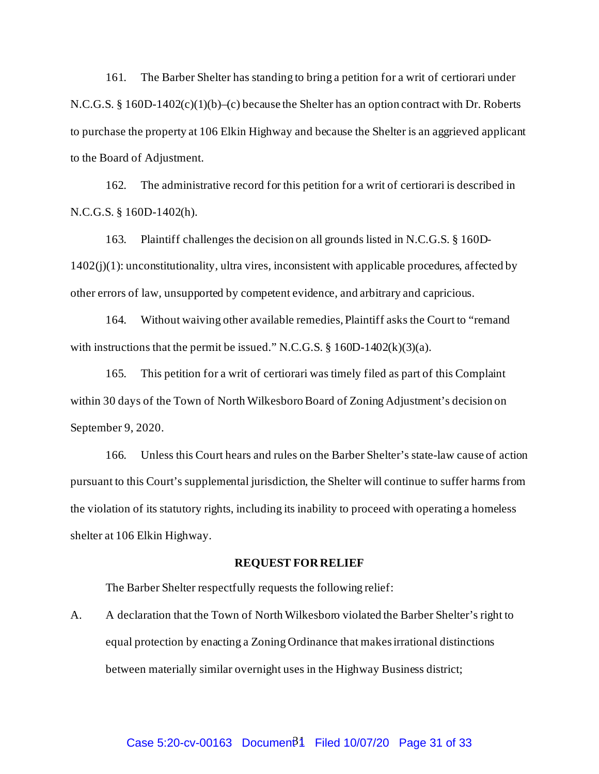161. The Barber Shelter has standing to bring a petition for a writ of certiorari under N.C.G.S. § 160D-1402(c)(1)(b)–(c) because the Shelter has an option contract with Dr. Roberts to purchase the property at 106 Elkin Highway and because the Shelter is an aggrieved applicant to the Board of Adjustment.

162. The administrative record for this petition for a writ of certiorari is described in N.C.G.S. § 160D-1402(h).

163. Plaintiff challenges the decision on all grounds listed in N.C.G.S. § 160D- $1402(j)(1)$ : unconstitutionality, ultra vires, inconsistent with applicable procedures, affected by other errors of law, unsupported by competent evidence, and arbitrary and capricious.

164. Without waiving other available remedies, Plaintiff asks the Court to "remand with instructions that the permit be issued." N.C.G.S.  $\S$  160D-1402(k)(3)(a).

165. This petition for a writ of certiorari was timely filed as part of this Complaint within 30 days of the Town of North Wilkesboro Board of Zoning Adjustment's decision on September 9, 2020.

166. Unless this Court hears and rules on the Barber Shelter's state-law cause of action pursuant to this Court's supplemental jurisdiction, the Shelter will continue to suffer harms from the violation of its statutory rights, including its inability to proceed with operating a homeless shelter at 106 Elkin Highway.

#### **REQUEST FOR RELIEF**

The Barber Shelter respectfully requests the following relief:

A. A declaration that the Town of North Wilkesboro violated the Barber Shelter's right to equal protection by enacting a Zoning Ordinance that makes irrational distinctions between materially similar overnight uses in the Highway Business district;

# Case 5:20-cv-00163 Documen $\beta$ 1 Filed 10/07/20 Page 31 of 33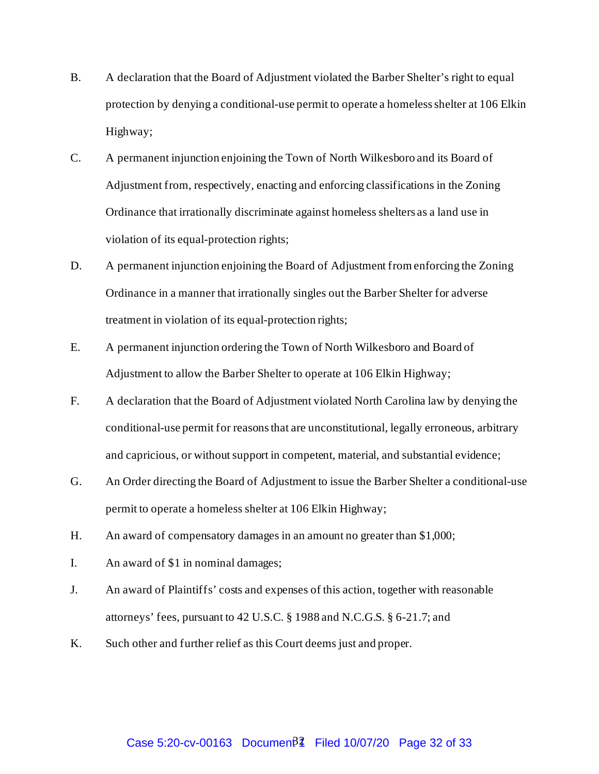- B. A declaration that the Board of Adjustment violated the Barber Shelter's right to equal protection by denying a conditional-use permit to operate a homeless shelter at 106 Elkin Highway;
- C. A permanent injunction enjoining the Town of North Wilkesboro and its Board of Adjustment from, respectively, enacting and enforcing classifications in the Zoning Ordinance that irrationally discriminate against homeless shelters as a land use in violation of its equal-protection rights;
- D. A permanent injunction enjoining the Board of Adjustment from enforcing the Zoning Ordinance in a manner that irrationally singles out the Barber Shelter for adverse treatment in violation of its equal-protection rights;
- E. A permanent injunction ordering the Town of North Wilkesboro and Board of Adjustment to allow the Barber Shelter to operate at 106 Elkin Highway;
- F. A declaration that the Board of Adjustment violated North Carolina law by denying the conditional-use permit for reasons that are unconstitutional, legally erroneous, arbitrary and capricious, or without support in competent, material, and substantial evidence;
- G. An Order directing the Board of Adjustment to issue the Barber Shelter a conditional-use permit to operate a homeless shelter at 106 Elkin Highway;
- H. An award of compensatory damages in an amount no greater than \$1,000;
- I. An award of \$1 in nominal damages;
- J. An award of Plaintiffs' costs and expenses of this action, together with reasonable attorneys' fees, pursuant to 42 U.S.C. § 1988 and N.C.G.S. § 6-21.7; and
- K. Such other and further relief as this Court deems just and proper.

# Case 5:20-cv-00163 Documen $\beta$ <sup>2</sup> Filed 10/07/20 Page 32 of 33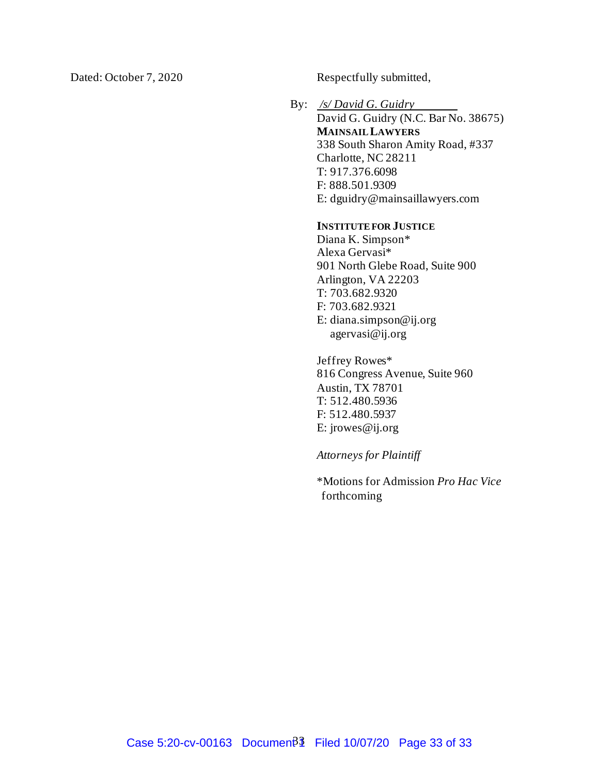Dated: October 7, 2020 Respectfully submitted,

By: */s/ David G. Guidry* David G. Guidry (N.C. Bar No. 38675) **MAINSAIL LAWYERS** 338 South Sharon Amity Road, #337 Charlotte, NC 28211 T: 917.376.6098 F: 888.501.9309 E: dguidry@mainsaillawyers.com

#### **INSTITUTE FOR JUSTICE**

Diana K. Simpson\* Alexa Gervasi\* 901 North Glebe Road, Suite 900 Arlington, VA 22203 T: 703.682.9320 F: 703.682.9321 E: diana.simpson@ij.org agervasi@ij.org

Jeffrey Rowes\* 816 Congress Avenue, Suite 960 Austin, TX 78701 T: 512.480.5936 F: 512.480.5937 E: jrowes@ij.org

*Attorneys for Plaintiff* 

\*Motions for Admission *Pro Hac Vice* forthcoming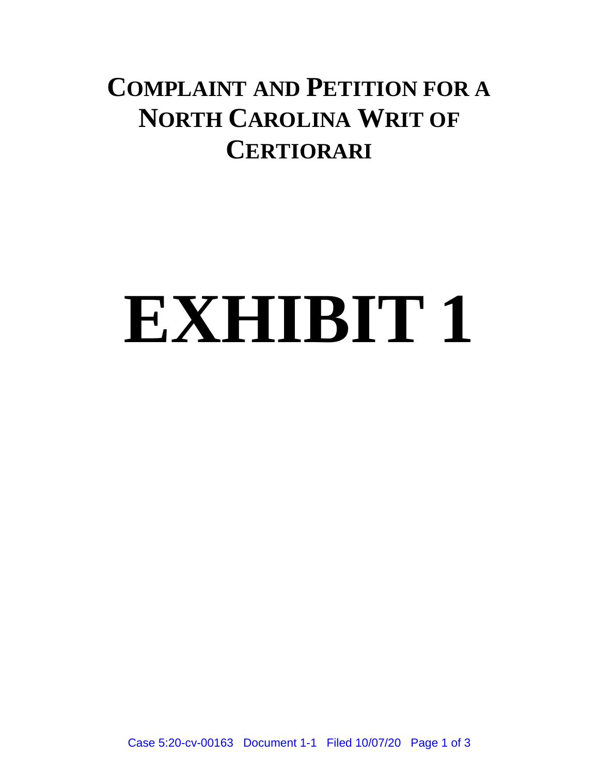# **COMPLAINT AND PETITION FOR A NORTH CAROLINA WRIT OF CERTIORARI**

# **EXHIBIT 1**

Case 5:20-cv-00163 Document 1-1 Filed 10/07/20 Page 1 of 3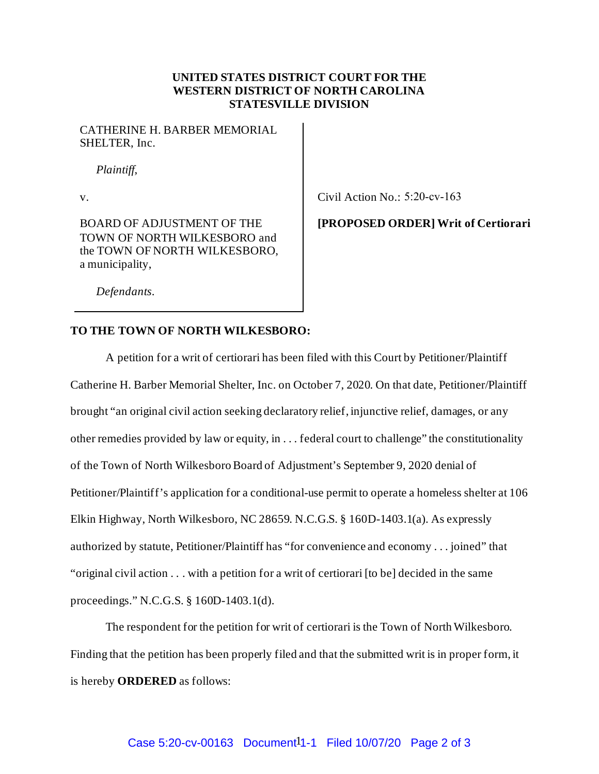#### **UNITED STATES DISTRICT COURT FOR THE WESTERN DISTRICT OF NORTH CAROLINA STATESVILLE DIVISION**

CATHERINE H. BARBER MEMORIAL SHELTER, Inc.

*Plaintiff*,

BOARD OF ADJUSTMENT OF THE TOWN OF NORTH WILKESBORO and the TOWN OF NORTH WILKESBORO, a municipality,

v. Civil Action No.: 5:20-cv-163

## **[PROPOSED ORDER] Writ of Certiorari**

*Defendants*.

#### **TO THE TOWN OF NORTH WILKESBORO:**

A petition for a writ of certiorari has been filed with this Court by Petitioner/Plaintiff Catherine H. Barber Memorial Shelter, Inc. on October 7, 2020. On that date, Petitioner/Plaintiff brought "an original civil action seeking declaratory relief, injunctive relief, damages, or any other remedies provided by law or equity, in . . . federal court to challenge" the constitutionality of the Town of North Wilkesboro Board of Adjustment's September 9, 2020 denial of Petitioner/Plaintiff's application for a conditional-use permit to operate a homeless shelter at 106 Elkin Highway, North Wilkesboro, NC 28659. N.C.G.S. § 160D-1403.1(a). As expressly authorized by statute, Petitioner/Plaintiff has "for convenience and economy . . . joined" that "original civil action . . . with a petition for a writ of certiorari [to be] decided in the same proceedings." N.C.G.S. § 160D-1403.1(d).

The respondent for the petition for writ of certiorari is the Town of North Wilkesboro. Finding that the petition has been properly filed and that the submitted writ is in proper form, it is hereby **ORDERED** as follows: